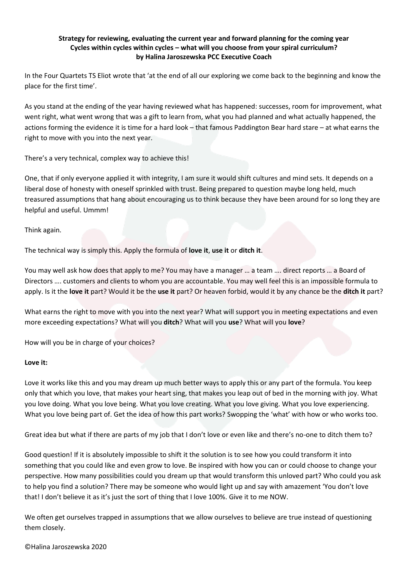# **Strategy for reviewing, evaluating the current year and forward planning for the coming year Cycles within cycles within cycles – what will you choose from your spiral curriculum? by Halina Jaroszewska PCC Executive Coach**

In the Four Quartets TS Eliot wrote that 'at the end of all our exploring we come back to the beginning and know the place for the first time'.

As you stand at the ending of the year having reviewed what has happened: successes, room for improvement, what went right, what went wrong that was a gift to learn from, what you had planned and what actually happened, the actions forming the evidence it is time for a hard look – that famous Paddington Bear hard stare – at what earns the right to move with you into the next year.

There's a very technical, complex way to achieve this!

One, that if only everyone applied it with integrity, I am sure it would shift cultures and mind sets. It depends on a liberal dose of honesty with oneself sprinkled with trust. Being prepared to question maybe long held, much treasured assumptions that hang about encouraging us to think because they have been around for so long they are helpful and useful. Ummm!

Think again.

The technical way is simply this. Apply the formula of **love it**, **use it** or **ditch it**.

You may well ask how does that apply to me? You may have a manager … a team …. direct reports … a Board of Directors …. customers and clients to whom you are accountable. You may well feel this is an impossible formula to apply. Is it the **love it** part? Would it be the **use it** part? Or heaven forbid, would it by any chance be the **ditch it** part?

What earns the right to move with you into the next year? What will support you in meeting expectations and even more exceeding expectations? What will you **ditch**? What will you **use**? What will you **love**?

How will you be in charge of your choices?

## **Love it:**

Love it works like this and you may dream up much better ways to apply this or any part of the formula. You keep only that which you love, that makes your heart sing, that makes you leap out of bed in the morning with joy. What you love doing. What you love being. What you love creating. What you love giving. What you love experiencing. What you love being part of. Get the idea of how this part works? Swopping the 'what' with how or who works too.

Great idea but what if there are parts of my job that I don't love or even like and there's no-one to ditch them to?

Good question! If it is absolutely impossible to shift it the solution is to see how you could transform it into something that you could like and even grow to love. Be inspired with how you can or could choose to change your perspective. How many possibilities could you dream up that would transform this unloved part? Who could you ask to help you find a solution? There may be someone who would light up and say with amazement 'You don't love that! I don't believe it as it's just the sort of thing that I love 100%. Give it to me NOW.

We often get ourselves trapped in assumptions that we allow ourselves to believe are true instead of questioning them closely.

©Halina Jaroszewska 2020